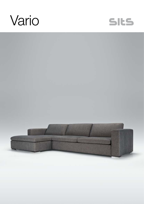



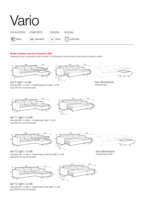# Vario UPHOLSTERY COMFORTS COVERS SPECIAL | fabric  $\int$  standard  $\int$  Fc  $\int$  fixed  $\int$   $\left[\frac{\text{m}}{\text{m}}\right]$  sofa bed ▒

#### Model available until 31st December 2022

Drawings show combinations with armrest I. Combinations with armrest II are properly shorter in width.



sofa bed left / or right + chaiselongue box right / or left pad 223x143 recommended





set 11 right / or left sofa bed left / or right + chaiselongue right / or left pad 223x143 recommended



265 168







box dimensions chaiselongue wide

set 12 right / or left sofa bed left / or right + chaiselongue wide box right / or left pad 223x143 recommended



set 13 right / or left sofa bed left / or right + chaiselongue wide right / or left pad 223x143 recommended